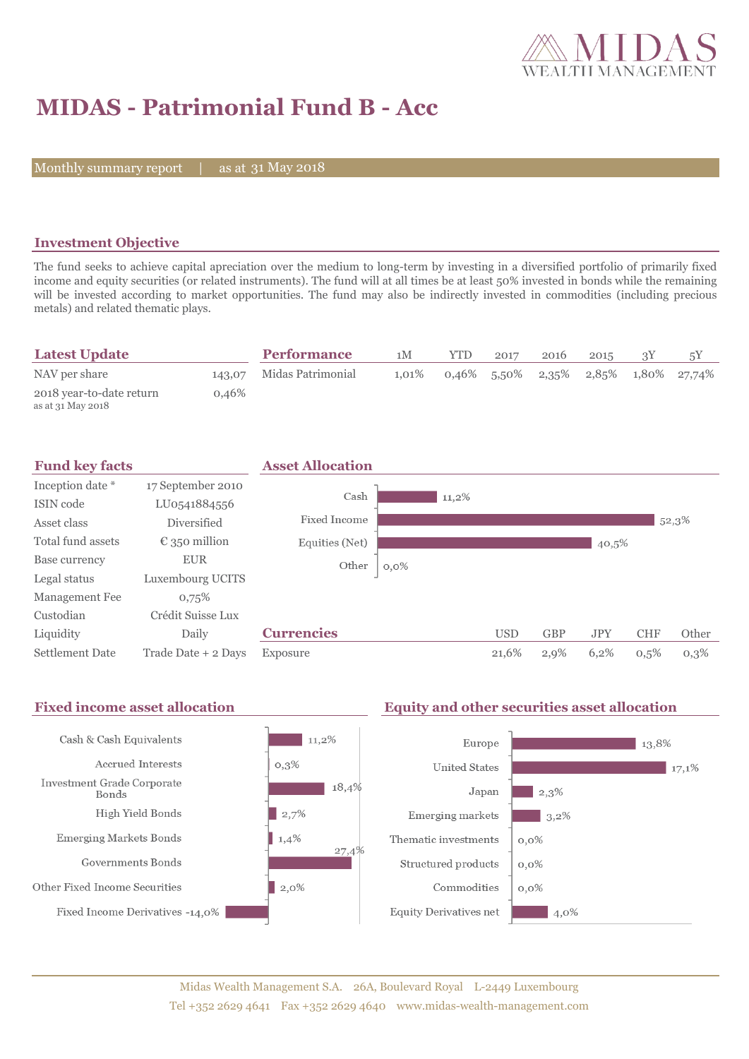

# **MIDAS - Patrimonial Fund B - Acc**

Monthly summary report | as at 31 May 2018

### **Investment Objective**

The fund seeks to achieve capital apreciation over the medium to long-term by investing in a diversified portfolio of primarily fixed income and equity securities (or related instruments). The fund will at all times be at least 50% invested in bonds while the remaining will be invested according to market opportunities. The fund may also be indirectly invested in commodities (including precious metals) and related thematic plays.

| <b>Latest Update</b>                          |          | <b>Performance</b>       | 1M       | <b>YTD</b> | 2017 | 2016 | 2015 |                                         |
|-----------------------------------------------|----------|--------------------------|----------|------------|------|------|------|-----------------------------------------|
| NAV per share                                 |          | 143.07 Midas Patrimonial | $1.01\%$ |            |      |      |      | $0.46\%$ 5.50% 2.35% 2.85% 1.80% 27.74% |
| 2018 year-to-date return<br>as at 31 May 2018 | $0.46\%$ |                          |          |            |      |      |      |                                         |



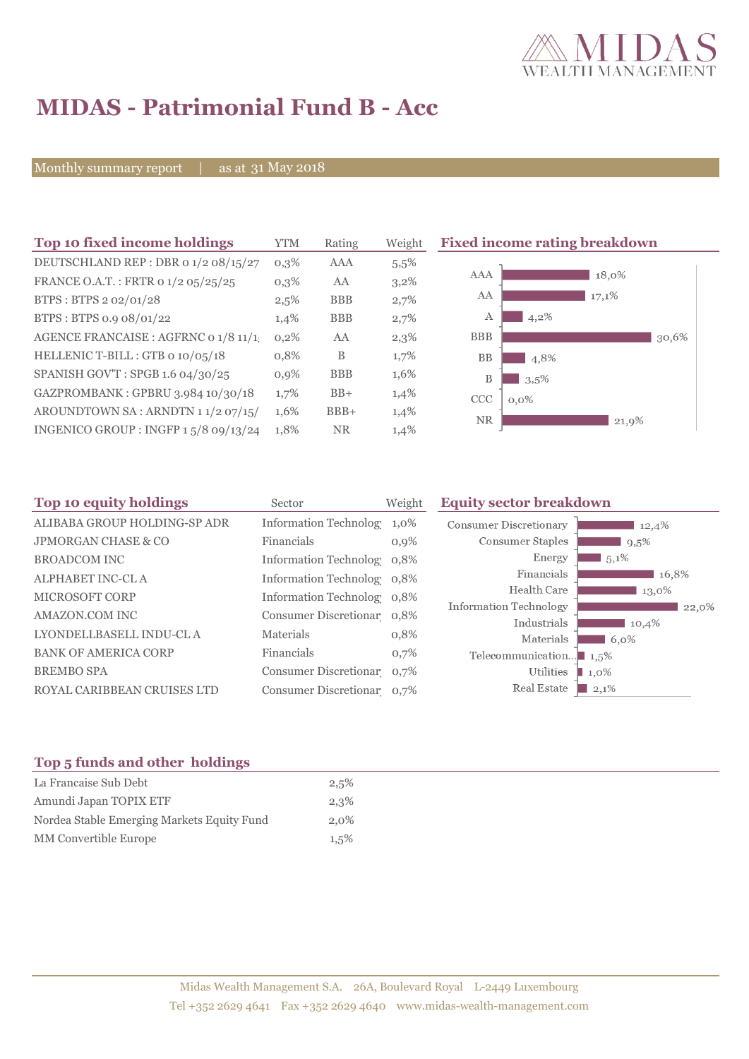

# **MIDAS - Patrimonial Fund B - Acc**

Monthly summary report | as at 31 May 2018

| Top 10 fixed income holdings         | YTM     | Rating     | Weight |
|--------------------------------------|---------|------------|--------|
| DEUTSCHLAND REP : DBR 0 1/2 08/15/27 | $0.3\%$ | AAA        | 5,5%   |
| FRANCE O.A.T.: FRTR 0 1/2 05/25/25   | $0,3\%$ | AA         | 3,2%   |
| BTPS: BTPS 2 02/01/28                | 2,5%    | <b>BBB</b> | 2,7%   |
| BTPS: BTPS 0.9 08/01/22              | 1,4%    | <b>BBB</b> | 2,7%   |
| AGENCE FRANCAISE : AGFRNC 0 1/8 11/1 | 0,2%    | AA         | 2,3%   |
| HELLENIC T-BILL: GTB 0 10/05/18      | 0,8%    | B          | 1,7%   |
| SPANISH GOV'T: SPGB 1.6 04/30/25     | $0.9\%$ | <b>BBB</b> | 1,6%   |
| GAZPROMBANK: GPBRU 3.984 10/30/18    | 1,7%    | $BB+$      | 1,4%   |
| AROUNDTOWN SA: ARNDTN 11/207/15/     | 1,6%    | $BBB+$     | 1,4%   |
| INGENICO GROUP: INGFP 15/8 09/13/24  | 1,8%    | <b>NR</b>  | 1,4%   |

### **Fixed income rating breakdown**



| Sector           | Weight     | <b>Equity sector breakdown</b>                                                                                                                                                                                                   |                                                                                                          |  |  |
|------------------|------------|----------------------------------------------------------------------------------------------------------------------------------------------------------------------------------------------------------------------------------|----------------------------------------------------------------------------------------------------------|--|--|
|                  | 1,0%       | <b>Consumer Discretionary</b>                                                                                                                                                                                                    | 12,4%                                                                                                    |  |  |
| Financials       | 0,9%       | Consumer Staples                                                                                                                                                                                                                 | 9,5%                                                                                                     |  |  |
|                  |            | Energy                                                                                                                                                                                                                           | $1,5,1\%$                                                                                                |  |  |
|                  |            | Financials                                                                                                                                                                                                                       | 16,8%                                                                                                    |  |  |
|                  |            | Health Care                                                                                                                                                                                                                      | 13,0%                                                                                                    |  |  |
|                  |            |                                                                                                                                                                                                                                  | 22,0%                                                                                                    |  |  |
| <b>Materials</b> |            |                                                                                                                                                                                                                                  | 10,4%<br>$6.0\%$                                                                                         |  |  |
|                  |            |                                                                                                                                                                                                                                  |                                                                                                          |  |  |
|                  |            |                                                                                                                                                                                                                                  | $\blacksquare$ 1,0%                                                                                      |  |  |
|                  |            | Real Estate                                                                                                                                                                                                                      | $ 2,1\%$                                                                                                 |  |  |
|                  | Financials | <b>Information Technolog</b><br>Information Technolog 0,8%<br>Information Technolog 0,8%<br>Information Technolog 0,8%<br>Consumer Discretionar 0.8%<br>0,8%<br>0,7%<br>Consumer Discretionar 0,7%<br>Consumer Discretionar 0,7% | Information Technology<br>Industrials<br>Materials<br>Telecommunication $\blacksquare$ 1,5%<br>Utilities |  |  |

### **Top 5 funds and other holdings**

| La Francaise Sub Debt                      | 2,5%    |
|--------------------------------------------|---------|
| Amundi Japan TOPIX ETF                     | 2,3%    |
| Nordea Stable Emerging Markets Equity Fund | 2.0%    |
| MM Convertible Europe                      | $1,5\%$ |